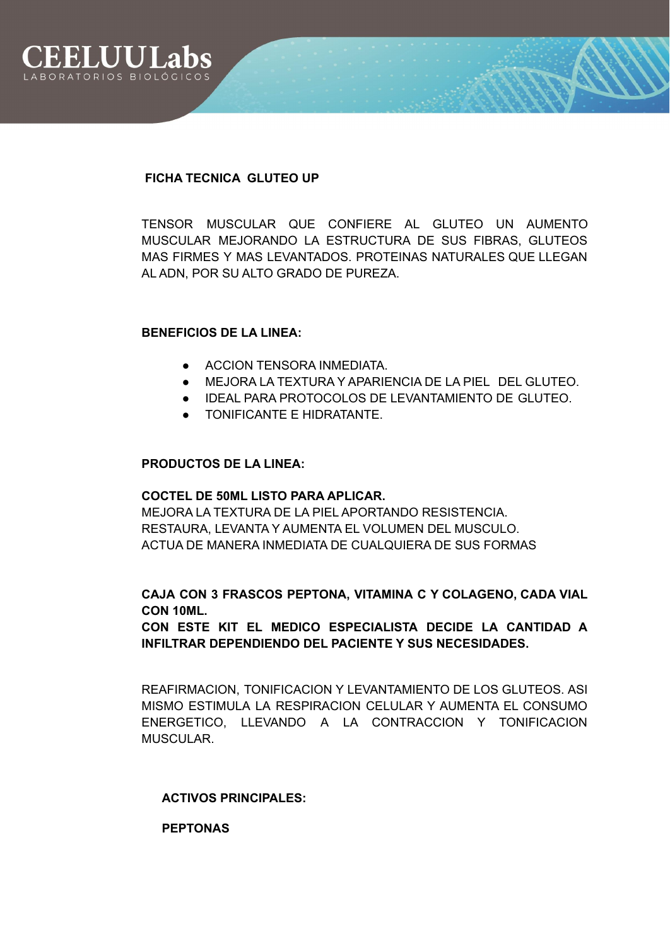

### **FICHA TECNICA GLUTEO UP**

TENSOR MUSCULAR QUE CONFIERE AL GLUTEO UN AUMENTO MUSCULAR MEJORANDO LA ESTRUCTURA DE SUS FIBRAS, GLUTEOS MAS FIRMES Y MAS LEVANTADOS. PROTEINAS NATURALES QUE LLEGAN AL ADN, POR SU ALTO GRADO DE PUREZA.

### **BENEFICIOS DE LA LINEA:**

- **ACCION TENSORA INMEDIATA.**
- MEJORA LA TEXTURA Y APARIENCIA DE LA PIEL DEL GLUTEO.
- IDEAL PARA PROTOCOLOS DE LEVANTAMIENTO DE GLUTEO.
- TONIFICANTE E HIDRATANTE.

#### **PRODUCTOS DE LA LINEA:**

#### **COCTEL DE 50ML LISTO PARA APLICAR.**

MEJORA LA TEXTURA DE LA PIEL APORTANDO RESISTENCIA. RESTAURA, LEVANTA Y AUMENTA EL VOLUMEN DEL MUSCULO. ACTUA DE MANERA INMEDIATA DE CUALQUIERA DE SUS FORMAS

# **CAJA CON 3 FRASCOS PEPTONA, VITAMINA C Y COLAGENO, CADA VIAL CON 10ML.**

# **CON ESTE KIT EL MEDICO ESPECIALISTA DECIDE LA CANTIDAD A INFILTRAR DEPENDIENDO DEL PACIENTE Y SUS NECESIDADES.**

REAFIRMACION, TONIFICACION Y LEVANTAMIENTO DE LOS GLUTEOS. ASI MISMO ESTIMULA LA RESPIRACION CELULAR Y AUMENTA EL CONSUMO ENERGETICO, LLEVANDO A LA CONTRACCION Y TONIFICACION MUSCULAR.

#### **ACTIVOS PRINCIPALES:**

**PEPTONAS**